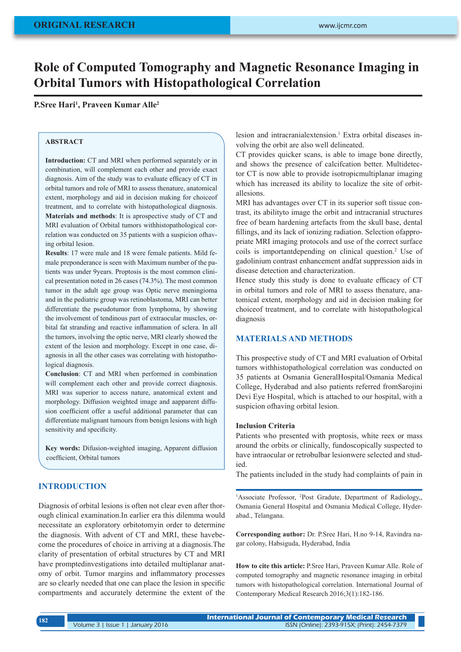# **Role of Computed Tomography and Magnetic Resonance Imaging in Orbital Tumors with Histopathological Correlation**

**P.Sree Hari1 , Praveen Kumar Alle2**

# **ABSTRACT**

**Introduction:** CT and MRI when performed separately or in combination, will complement each other and provide exact diagnosis. Aim of the study was to evaluate efficacy of CT in orbital tumors and role of MRI to assess thenature, anatomical extent, morphology and aid in decision making for choiceof treatment, and to correlate with histopathological diagnosis. **Materials and methods**: It is aprospective study of CT and MRI evaluation of Orbital tumors withhistopathological correlation was conducted on 35 patients with a suspicion ofhaving orbital lesion.

**Results**: 17 were male and 18 were female patients. Mild female preponderance is seen with Maximum number of the patients was under 9years. Proptosis is the most common clinical presentation noted in 26 cases (74.3%). The most common tumor in the adult age group was Optic nerve meningioma and in the pediatric group was retinoblastoma, MRI can better differentiate the pseudotumor from lymphoma, by showing the involvement of tendinous part of extraocular muscles, orbital fat stranding and reactive inflammation of sclera. In all the tumors, involving the optic nerve, MRI clearly showed the extent of the lesion and morphology. Except in one case, diagnosis in all the other cases was correlating with histopathological diagnosis.

**Conclusion**: CT and MRI when performed in combination will complement each other and provide correct diagnosis. MRI was superior to access nature, anatomical extent and morphology. Diffusion weighted image and aapparent diffusion coefficient offer a useful additional parameter that can differentiate malignant tumours from benign lesions with high sensitivity and specificity.

**Key words:** Difusion-weighted imaging, Apparent diffusion coefficient, Orbital tumors

## **INTRODUCTION**

Diagnosis of orbital lesions is often not clear even after thorough clinical examination.In earlier era this dilemma would necessitate an exploratory orbitotomyin order to determine the diagnosis. With advent of CT and MRI, these havebecome the procedures of choice in arriving at a diagnosis.The clarity of presentation of orbital structures by CT and MRI have promptedinvestigations into detailed multiplanar anatomy of orbit. Tumor margins and inflammatory processes are so clearly needed that one can place the lesion in specific compartments and accurately determine the extent of the

lesion and intracranialextension.<sup>1</sup> Extra orbital diseases involving the orbit are also well delineated.

CT provides quicker scans, is able to image bone directly, and shows the presence of calcifcation better. Multidetector CT is now able to provide isotropicmultiplanar imaging which has increased its ability to localize the site of orbitallesions.

MRI has advantages over CT in its superior soft tissue contrast, its abilityto image the orbit and intracranial structures free of beam hardening artefacts from the skull base, dental fillings, and its lack of ionizing radiation. Selection ofappropriate MRI imaging protocols and use of the correct surface coils is importantdepending on clinical question.2 Use of gadolinium contrast enhancement andfat suppression aids in disease detection and characterization.

Hence study this study is done to evaluate efficacy of CT in orbital tumors and role of MRI to assess thenature, anatomical extent, morphology and aid in decision making for choiceof treatment, and to correlate with histopathological diagnosis

# **MATERIALS AND METHODS**

This prospective study of CT and MRI evaluation of Orbital tumors withhistopathological correlation was conducted on 35 patients at Osmania GeneralHospital/Osmania Medical College, Hyderabad and also patients referred fromSarojini Devi Eye Hospital, which is attached to our hospital, with a suspicion ofhaving orbital lesion.

#### **Inclusion Criteria**

Patients who presented with proptosis, white reex or mass around the orbits or clinically, fundoscopically suspected to have intraocular or retrobulbar lesionwere selected and studied.

The patients included in the study had complaints of pain in

<sup>1</sup>Associate Professor, <sup>2</sup>Post Gradute, Department of Radiology,, Osmania General Hospital and Osmania Medical College, Hyderabad., Telangana.

**Corresponding author:** Dr. P.Sree Hari, H.no 9-14, Ravindra nagar colony, Habsiguda, Hyderabad, India

**How to cite this article:** P.Sree Hari, Praveen Kumar Alle. Role of computed tomography and magnetic resonance imaging in orbital tumors with histopathological correlation. International Journal of Contemporary Medical Research 2016;3(1):182-186.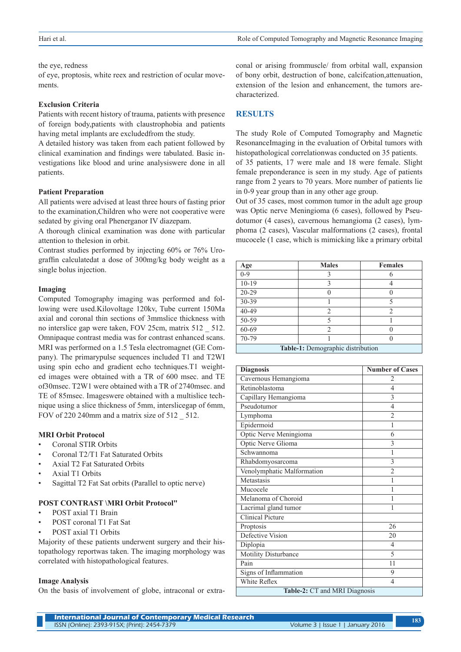#### the eye, redness

of eye, proptosis, white reex and restriction of ocular movements.

#### **Exclusion Criteria**

Patients with recent history of trauma, patients with presence of foreign body,patients with claustrophobia and patients having metal implants are excludedfrom the study.

A detailed history was taken from each patient followed by clinical examination and findings were tabulated. Basic investigations like blood and urine analysiswere done in all patients.

#### **Patient Preparation**

All patients were advised at least three hours of fasting prior to the examination,Children who were not cooperative were sedated by giving oral Phenerganor IV diazepam.

A thorough clinical examination was done with particular attention to thelesion in orbit.

Contrast studies performed by injecting 60% or 76% Urograffin calculatedat a dose of 300mg/kg body weight as a single bolus injection.

#### **Imaging**

Computed Tomography imaging was performed and following were used.Kilovoltage 120kv, Tube current 150Ma axial and coronal thin sections of 3mmslice thickness with no interslice gap were taken, FOV 25cm, matrix 512 \_ 512. Omnipaque contrast media was for contrast enhanced scans. MRI was performed on a 1.5 Tesla electromagnet (GE Company). The primarypulse sequences included T1 and T2WI using spin echo and gradient echo techniques.T1 weighted images were obtained with a TR of 600 msec. and TE of30msec. T2W1 were obtained with a TR of 2740msec. and TE of 85msec. Imageswere obtained with a multislice technique using a slice thickness of 5mm, interslicegap of 6mm, FOV of 220 240mm and a matrix size of 512 \_ 512.

## **MRI Orbit Protocol**

- Coronal STIR Orbits
- Coronal T2/T1 Fat Saturated Orbits
- Axial T2 Fat Saturated Orbits
- Axial T1 Orbits
- Sagittal T2 Fat Sat orbits (Parallel to optic nerve)

## **POST CONTRAST \MRI Orbit Protocol"**

- POST axial T1 Brain
- POST coronal T1 Fat Sat
- POST axial T1 Orbits

Majority of these patients underwent surgery and their histopathology reportwas taken. The imaging morphology was correlated with histopathological features.

#### **Image Analysis**

On the basis of involvement of globe, intraconal or extra-

conal or arising frommuscle/ from orbital wall, expansion of bony orbit, destruction of bone, calcifcation,attenuation, extension of the lesion and enhancement, the tumors arecharacterized.

# **RESULTS**

The study Role of Computed Tomography and Magnetic ResonanceImaging in the evaluation of Orbital tumors with histopathological correlationwas conducted on 35 patients.

of 35 patients, 17 were male and 18 were female. Slight female preponderance is seen in my study. Age of patients range from 2 years to 70 years. More number of patients lie in 0-9 year group than in any other age group.

Out of 35 cases, most common tumor in the adult age group was Optic nerve Meningioma (6 cases), followed by Pseudotumor (4 cases), cavernous hemangioma (2 cases), lymphoma (2 cases), Vascular malformations (2 cases), frontal mucocele (1 case, which is mimicking like a primary orbital

| Age                               | <b>Males</b>   | <b>Females</b> |  |
|-----------------------------------|----------------|----------------|--|
| $0 - 9$                           |                |                |  |
| $10-19$                           | 3              |                |  |
| 20-29                             |                |                |  |
| 30-39                             |                | 5              |  |
| 40-49                             | 2              | 2              |  |
| 50-59                             |                |                |  |
| 60-69                             | $\mathfrak{D}$ |                |  |
| 70-79                             |                |                |  |
| Table-1: Demographic distribution |                |                |  |

| <b>Diagnosis</b>              | <b>Number of Cases</b> |  |  |
|-------------------------------|------------------------|--|--|
| Cavernous Hemangioma          | 2                      |  |  |
| Retinoblastoma                | 4                      |  |  |
| Capillary Hemangioma          | 3                      |  |  |
| Pseudotumor                   | 4                      |  |  |
| Lymphoma                      | $\overline{2}$         |  |  |
| Epidermoid                    | 1                      |  |  |
| Optic Nerve Meningioma        | 6                      |  |  |
| <b>Optic Nerve Glioma</b>     | 3                      |  |  |
| Schwannoma                    | 1                      |  |  |
| Rhabdomyosarcoma              | 3                      |  |  |
| Venolymphatic Malformation    | $\overline{2}$         |  |  |
| Metastasis                    | 1                      |  |  |
| Mucocele                      | 1                      |  |  |
| Melanoma of Choroid           |                        |  |  |
| Lacrimal gland tumor          | 1                      |  |  |
| <b>Clinical Picture</b>       |                        |  |  |
| Proptosis                     | 26                     |  |  |
| Defective Vision              | 20                     |  |  |
| Diplopia                      | 4                      |  |  |
| Motility Disturbance          | 5                      |  |  |
| Pain                          | 11                     |  |  |
| Signs of Inflammation         | 9                      |  |  |
| White Reflex                  | 4                      |  |  |
| Table-2: CT and MRI Diagnosis |                        |  |  |

**International Journal of Contemporary Medical Research**  ISSN (Online): 2393-915X; (Print): 2454-7379 Volume 3 | Issue 1 | January 2016 **<sup>183</sup>**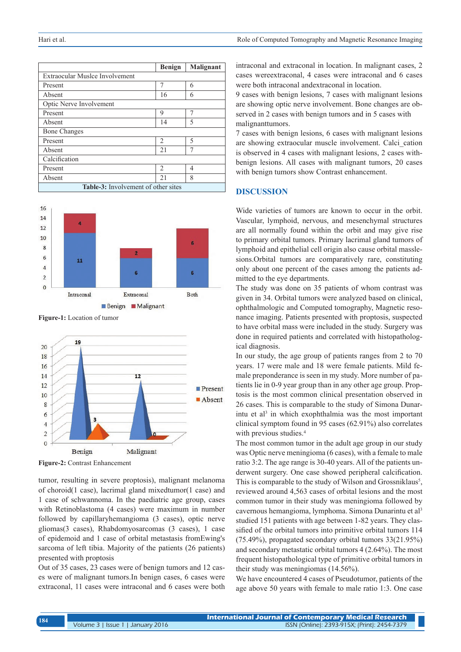|                                            | <b>Benign</b>            | Malignant |  |  |
|--------------------------------------------|--------------------------|-----------|--|--|
| Extraocular Muslce Involvement             |                          |           |  |  |
| Present                                    | 7                        | 6         |  |  |
| Absent                                     | 16                       | 6         |  |  |
| Optic Nerve Involvement                    |                          |           |  |  |
| Present                                    | 9                        |           |  |  |
| Absent                                     | 14                       | 5         |  |  |
| <b>Bone Changes</b>                        |                          |           |  |  |
| Present                                    | $\mathfrak{D}_{1}^{(1)}$ | 5         |  |  |
| Absent                                     | 21                       |           |  |  |
| Calcification                              |                          |           |  |  |
| Present                                    | $\mathfrak{D}_{1}^{(1)}$ | 4         |  |  |
| Absent                                     | 21                       | 8         |  |  |
| <b>Table-3:</b> Involvement of other sites |                          |           |  |  |



**Figure-1:** Location of tumor



**Figure-2:** Contrast Enhancement

tumor, resulting in severe proptosis), malignant melanoma of choroid(1 case), lacrimal gland mixedtumor(1 case) and 1 case of schwannoma. In the paediatric age group, cases with Retinoblastoma (4 cases) were maximum in number followed by capillaryhemangioma (3 cases), optic nerve gliomas(3 cases), Rhabdomyosarcomas (3 cases), 1 case of epidemoid and 1 case of orbital metastasis fromEwing's sarcoma of left tibia. Majority of the patients (26 patients) presented with proptosis

Out of 35 cases, 23 cases were of benign tumors and 12 cases were of malignant tumors.In benign cases, 6 cases were extraconal, 11 cases were intraconal and 6 cases were both

intraconal and extraconal in location. In malignant cases, 2 cases wereextraconal, 4 cases were intraconal and 6 cases were both intraconal andextraconal in location.

9 cases with benign lesions, 7 cases with malignant lesions are showing optic nerve involvement. Bone changes are observed in 2 cases with benign tumors and in 5 cases with malignanttumors.

7 cases with benign lesions, 6 cases with malignant lesions are showing extraocular muscle involvement. Calci\_cation is observed in 4 cases with malignant lesions, 2 cases withbenign lesions. All cases with malignant tumors, 20 cases with benign tumors show Contrast enhancement.

## **DISCUSSION**

Wide varieties of tumors are known to occur in the orbit. Vascular, lymphoid, nervous, and mesenchymal structures are all normally found within the orbit and may give rise to primary orbital tumors. Primary lacrimal gland tumors of lymphoid and epithelial cell origin also cause orbital masslesions.Orbital tumors are comparatively rare, constituting only about one percent of the cases among the patients admitted to the eye departments.

The study was done on 35 patients of whom contrast was given in 34. Orbital tumors were analyzed based on clinical, ophthalmologic and Computed tomography, Magnetic resonance imaging. Patients presented with proptosis, suspected to have orbital mass were included in the study. Surgery was done in required patients and correlated with histopathological diagnosis.

In our study, the age group of patients ranges from 2 to 70 years. 17 were male and 18 were female patients. Mild female preponderance is seen in my study. More number of patients lie in 0-9 year group than in any other age group. Proptosis is the most common clinical presentation observed in 26 cases. This is comparable to the study of Simona Dunarintu et al<sup>3</sup> in which exophthalmia was the most important clinical symptom found in 95 cases (62.91%) also correlates with previous studies.<sup>4</sup>

The most common tumor in the adult age group in our study was Optic nerve meningioma (6 cases), with a female to male ratio 3:2. The age range is 30-40 years. All of the patients underwent surgery. One case showed peripheral calcification. This is comparable to the study of Wilson and Grossniklaus<sup>5</sup>, reviewed around 4,563 cases of orbital lesions and the most common tumor in their study was meningioma followed by cavernous hemangioma, lymphoma. Simona Dunarintu et al<sup>3</sup> studied 151 patients with age between 1-82 years. They classified of the orbital tumors into primitive orbital tumors 114 (75.49%), propagated secondary orbital tumors 33(21.95%) and secondary metastatic orbital tumors 4 (2.64%). The most frequent histopathological type of primitive orbital tumors in their study was meningiomas (14.56%).

We have encountered 4 cases of Pseudotumor, patients of the age above 50 years with female to male ratio 1:3. One case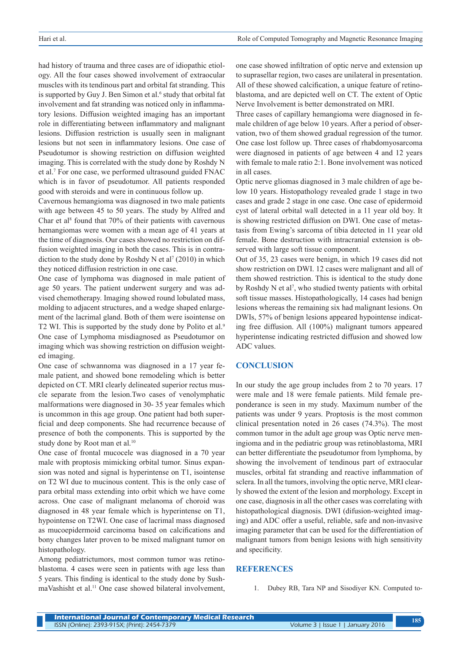had history of trauma and three cases are of idiopathic etiology. All the four cases showed involvement of extraocular muscles with its tendinous part and orbital fat stranding. This is supported by Guy J. Ben Simon et al.<sup>6</sup> study that orbital fat involvement and fat stranding was noticed only in inflammatory lesions. Diffusion weighted imaging has an important role in differentiating between inflammatory and malignant lesions. Diffusion restriction is usually seen in malignant lesions but not seen in inflammatory lesions. One case of Pseudotumor is showing restriction on diffusion weighted imaging. This is correlated with the study done by Roshdy N et al.7 For one case, we performed ultrasound guided FNAC which is in favor of pseudotumor. All patients responded good with steroids and were in continuous follow up.

Cavernous hemangioma was diagnosed in two male patients with age between 45 to 50 years. The study by Alfred and Char et al<sup>8</sup> found that  $70\%$  of their patients with cavernous hemangiomas were women with a mean age of 41 years at the time of diagnosis. Our cases showed no restriction on diffusion weighted imaging in both the cases. This is in contradiction to the study done by Roshdy N et al<sup>7</sup> (2010) in which they noticed diffusion restriction in one case.

One case of lymphoma was diagnosed in male patient of age 50 years. The patient underwent surgery and was advised chemotherapy. Imaging showed round lobulated mass, molding to adjacent structures, and a wedge shaped enlargement of the lacrimal gland. Both of them were isointense on T2 WI. This is supported by the study done by Polito et al.<sup>9</sup> One case of Lymphoma misdiagnosed as Pseudotumor on imaging which was showing restriction on diffusion weighted imaging.

One case of schwannoma was diagnosed in a 17 year female patient, and showed bone remodeling which is better depicted on CT. MRI clearly delineated superior rectus muscle separate from the lesion.Two cases of venolymphatic malformations were diagnosed in 30- 35 year females which is uncommon in this age group. One patient had both superficial and deep components. She had recurrence because of presence of both the components. This is supported by the study done by Root man et al.<sup>10</sup>

One case of frontal mucocele was diagnosed in a 70 year male with proptosis mimicking orbital tumor. Sinus expansion was noted and signal is hyperintense on T1, isointense on T2 WI due to mucinous content. This is the only case of para orbital mass extending into orbit which we have come across. One case of malignant melanoma of choroid was diagnosed in 48 year female which is hyperintense on T1, hypointense on T2WI. One case of lacrimal mass diagnosed as mucoepidermoid carcinoma based on calcifications and bony changes later proven to be mixed malignant tumor on histopathology.

Among pediatrictumors, most common tumor was retinoblastoma. 4 cases were seen in patients with age less than 5 years. This finding is identical to the study done by SushmaVashisht et al.<sup>11</sup> One case showed bilateral involvement,

one case showed infiltration of optic nerve and extension up to suprasellar region, two cases are unilateral in presentation. All of these showed calcification, a unique feature of retinoblastoma, and are depicted well on CT. The extent of Optic Nerve Involvement is better demonstrated on MRI.

Three cases of capillary hemangioma were diagnosed in female children of age below 10 years. After a period of observation, two of them showed gradual regression of the tumor. One case lost follow up. Three cases of rhabdomyosarcoma were diagnosed in patients of age between 4 and 12 years with female to male ratio 2:1. Bone involvement was noticed in all cases.

Optic nerve gliomas diagnosed in 3 male children of age below 10 years. Histopathology revealed grade 1 stage in two cases and grade 2 stage in one case. One case of epidermoid cyst of lateral orbital wall detected in a 11 year old boy. It is showing restricted diffusion on DWI. One case of metastasis from Ewing's sarcoma of tibia detected in 11 year old female. Bone destruction with intracranial extension is observed with large soft tissue component.

Out of 35, 23 cases were benign, in which 19 cases did not show restriction on DWI. 12 cases were malignant and all of them showed restriction. This is identical to the study done by Roshdy N et al<sup>7</sup>, who studied twenty patients with orbital soft tissue masses. Histopathologically, 14 cases had benign lesions whereas the remaining six had malignant lesions. On DWIs, 57% of benign lesions appeared hypointense indicating free diffusion. All (100%) malignant tumors appeared hyperintense indicating restricted diffusion and showed low ADC values.

## **CONCLUSION**

In our study the age group includes from 2 to 70 years. 17 were male and 18 were female patients. Mild female preponderance is seen in my study. Maximum number of the patients was under 9 years. Proptosis is the most common clinical presentation noted in 26 cases (74.3%). The most common tumor in the adult age group was Optic nerve meningioma and in the pediatric group was retinoblastoma, MRI can better differentiate the pseudotumor from lymphoma, by showing the involvement of tendinous part of extraocular muscles, orbital fat stranding and reactive inflammation of sclera. In all the tumors, involving the optic nerve, MRI clearly showed the extent of the lesion and morphology. Except in one case, diagnosis in all the other cases was correlating with histopathological diagnosis. DWI (difusion-weighted imaging) and ADC offer a useful, reliable, safe and non-invasive imaging parameter that can be used for the differentiation of malignant tumors from benign lesions with high sensitivity and specificity.

## **REFERENCES**

1. Dubey RB, Tara NP and Sisodiyer KN. Computed to-